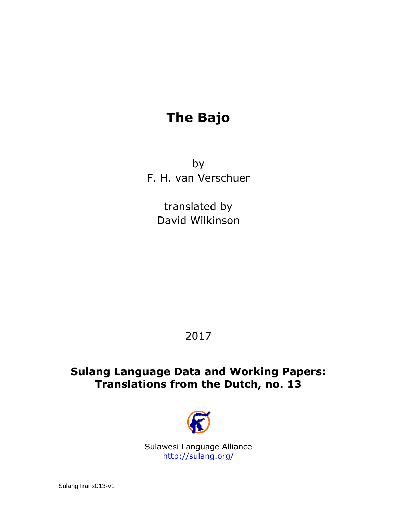# **The Bajo**

by F. H. van Verschuer

> translated by David Wilkinson

# 2017

# **Sulang Language Data and Working Papers: Translations from the Dutch, no. 13**



Sulawesi Language Alliance <http://sulang.org/>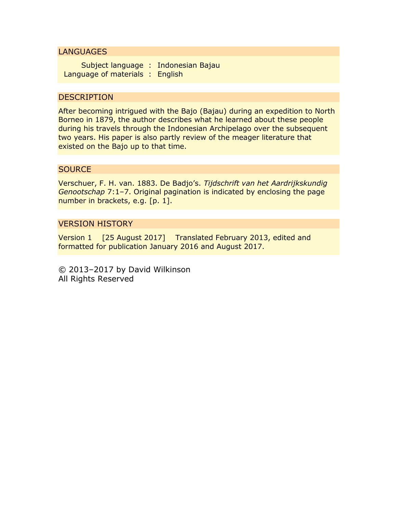### **LANGUAGES**

Subject language : Indonesian Bajau Language of materials : English

# **DESCRIPTION**

After becoming intrigued with the Bajo (Bajau) during an expedition to North Borneo in 1879, the author describes what he learned about these people during his travels through the Indonesian Archipelago over the subsequent two years. His paper is also partly review of the meager literature that existed on the Bajo up to that time.

## **SOURCE**

Verschuer, F. H. van. 1883. De Badjo's. *Tijdschrift van het Aardrijkskundig Genootschap* 7:1–7. Original pagination is indicated by enclosing the page number in brackets, e.g. [p. 1].

## VERSION HISTORY

Version 1 [25 August 2017] Translated February 2013, edited and formatted for publication January 2016 and August 2017.

© 2013–2017 by David Wilkinson All Rights Reserved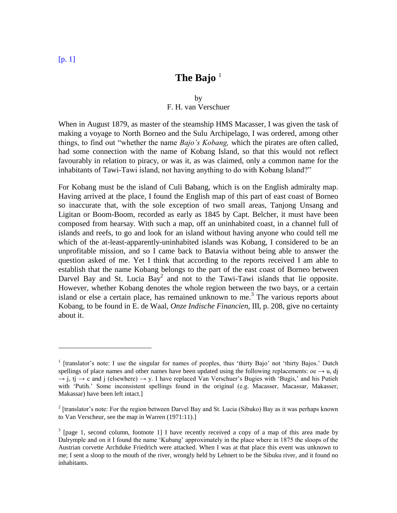#### by F. H. van Verschuer

When in August 1879, as master of the steamship HMS Macasser, I was given the task of making a voyage to North Borneo and the Sulu Archipelago, I was ordered, among other things, to find out "whether the name *Bajo's Kobang,* which the pirates are often called, had some connection with the name of Kobang Island, so that this would not reflect favourably in relation to piracy, or was it, as was claimed, only a common name for the inhabitants of Tawi-Tawi island, not having anything to do with Kobang Island?"

For Kobang must be the island of Culi Babang, which is on the English admiralty map. Having arrived at the place, I found the English map of this part of east coast of Borneo so inaccurate that, with the sole exception of two small areas, Tanjong Unsang and Ligitan or Boom-Boom, recorded as early as 1845 by Capt. Belcher, it must have been composed from hearsay. With such a map, off an uninhabited coast, in a channel full of islands and reefs, to go and look for an island without having anyone who could tell me which of the at-least-apparently-uninhabited islands was Kobang, I considered to be an unprofitable mission, and so I came back to Batavia without being able to answer the question asked of me. Yet I think that according to the reports received I am able to establish that the name Kobang belongs to the part of the east coast of Borneo between Darvel Bay and St. Lucia Bay<sup>2</sup> and not to the Tawi-Tawi islands that lie opposite. However, whether Kobang denotes the whole region between the two bays, or a certain island or else a certain place, has remained unknown to me.<sup>3</sup> The various reports about Kobang, to be found in E. de Waal, *Onze Indische Financien*, III, p. 208, give no certainty about it.

<sup>&</sup>lt;sup>1</sup> [translator's note: I use the singular for names of peoples, thus 'thirty Bajo' not 'thirty Bajos.' Dutch spellings of place names and other names have been updated using the following replacements:  $oe \rightarrow u$ , dj  $\rightarrow$  i, ti  $\rightarrow$  c and i (elsewhere)  $\rightarrow$  v. I have replaced Van Verschuer's Bugies with 'Bugis,' and his Putieh with 'Putih.' Some inconsistent spellings found in the original (e.g. Macasser, Macassar, Makasser, Makassar) have been left intact.]

<sup>&</sup>lt;sup>2</sup> [translator's note: For the region between Darvel Bay and St. Lucia (Sibuko) Bay as it was perhaps known to Van Verscheur, see the map in Warren (1971:11).]

 $3$  [page 1, second column, footnote 1] I have recently received a copy of a map of this area made by Dalrymple and on it I found the name 'Kubang' approximately in the place where in 1875 the sloops of the Austrian corvette Archduke Friedrich were attacked. When I was at that place this event was unknown to me; I sent a sloop to the mouth of the river, wrongly held by Lehnert to be the Sibuku river, and it found no inhabitants.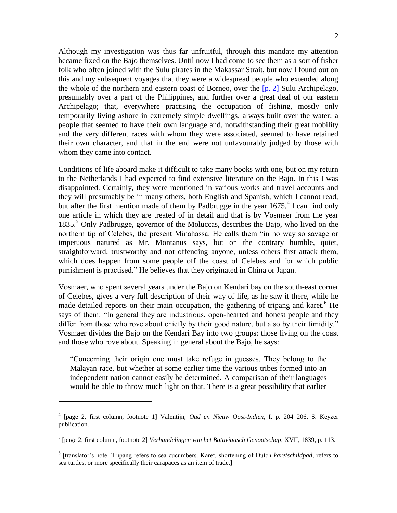Although my investigation was thus far unfruitful, through this mandate my attention became fixed on the Bajo themselves. Until now I had come to see them as a sort of fisher folk who often joined with the Sulu pirates in the Makassar Strait, but now I found out on this and my subsequent voyages that they were a widespread people who extended along the whole of the northern and eastern coast of Borneo, over the  $[p, 2]$  Sulu Archipelago, presumably over a part of the Philippines, and further over a great deal of our eastern Archipelago; that, everywhere practising the occupation of fishing, mostly only temporarily living ashore in extremely simple dwellings, always built over the water; a people that seemed to have their own language and, notwithstanding their great mobility and the very different races with whom they were associated, seemed to have retained their own character, and that in the end were not unfavourably judged by those with whom they came into contact.

Conditions of life aboard make it difficult to take many books with one, but on my return to the Netherlands I had expected to find extensive literature on the Bajo. In this I was disappointed. Certainly, they were mentioned in various works and travel accounts and they will presumably be in many others, both English and Spanish, which I cannot read, but after the first mention made of them by Padbrugge in the year  $1675$ ,<sup>4</sup> I can find only one article in which they are treated of in detail and that is by Vosmaer from the year 1835. <sup>5</sup> Only Padbrugge, governor of the Moluccas, describes the Bajo, who lived on the northern tip of Celebes, the present Minahassa. He calls them "in no way so savage or impetuous natured as Mr. Montanus says, but on the contrary humble, quiet, straightforward, trustworthy and not offending anyone, unless others first attack them, which does happen from some people off the coast of Celebes and for which public punishment is practised." He believes that they originated in China or Japan.

Vosmaer, who spent several years under the Bajo on Kendari bay on the south-east corner of Celebes, gives a very full description of their way of life, as he saw it there, while he made detailed reports on their main occupation, the gathering of tripang and karet.<sup>6</sup> He says of them: "In general they are industrious, open-hearted and honest people and they differ from those who rove about chiefly by their good nature, but also by their timidity." Vosmaer divides the Bajo on the Kendari Bay into two groups: those living on the coast and those who rove about. Speaking in general about the Bajo, he says:

"Concerning their origin one must take refuge in guesses. They belong to the Malayan race, but whether at some earlier time the various tribes formed into an independent nation cannot easily be determined. A comparison of their languages would be able to throw much light on that. There is a great possibility that earlier

<sup>4</sup> [page 2, first column, footnote 1] Valentijn, *Oud en Nieuw Oost-Indien*, I. p. 204–206. S. Keyzer publication.

<sup>5</sup> [page 2, first column, footnote 2] *Verhandelingen van het Bataviaasch Genootschap*, XVII, 1839, p. 113.

<sup>6</sup> [translator's note: Tripang refers to sea cucumbers. Karet, shortening of Dutch *karetschildpad*, refers to sea turtles, or more specifically their carapaces as an item of trade.]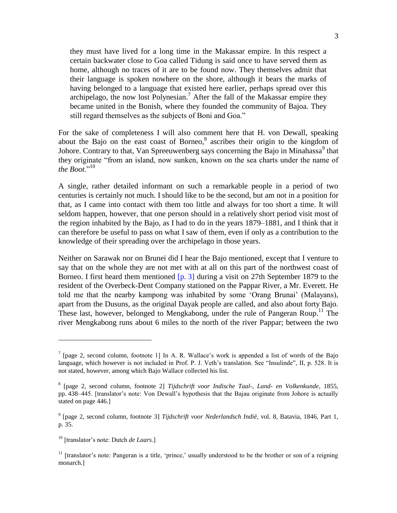they must have lived for a long time in the Makassar empire. In this respect a certain backwater close to Goa called Tidung is said once to have served them as home, although no traces of it are to be found now. They themselves admit that their language is spoken nowhere on the shore, although it bears the marks of having belonged to a language that existed here earlier, perhaps spread over this archipelago, the now lost Polynesian.<sup>7</sup> After the fall of the Makassar empire they became united in the Bonish, where they founded the community of Bajoa. They still regard themselves as the subjects of Boni and Goa."

For the sake of completeness I will also comment here that H. von Dewall, speaking about the Bajo on the east coast of Borneo, $8$  ascribes their origin to the kingdom of Johore. Contrary to that, Van Spreeuwenberg says concerning the Bajo in Minahassa $^9$  that they originate "from an island, now sunken, known on the sea charts under the name of *the Boot*."<sup>10</sup>

A single, rather detailed informant on such a remarkable people in a period of two centuries is certainly not much. I should like to be the second, but am not in a position for that, as I came into contact with them too little and always for too short a time. It will seldom happen, however, that one person should in a relatively short period visit most of the region inhabited by the Bajo, as I had to do in the years 1879–1881, and I think that it can therefore be useful to pass on what I saw of them, even if only as a contribution to the knowledge of their spreading over the archipelago in those years.

Neither on Sarawak nor on Brunei did I hear the Bajo mentioned, except that I venture to say that on the whole they are not met with at all on this part of the northwest coast of Borneo. I first heard them mentioned  $[p, 3]$  during a visit on 27th September 1879 to the resident of the Overbeck-Dent Company stationed on the Pappar River, a Mr. Everett. He told me that the nearby kampong was inhabited by some 'Orang Brunai' (Malayans), apart from the Dusuns, as the original Dayak people are called, and also about forty Bajo. These last, however, belonged to Mengkabong, under the rule of Pangeran Roup.<sup>11</sup> The river Mengkabong runs about 6 miles to the north of the river Pappar; between the two

<sup>&</sup>lt;sup>7</sup> [page 2, second column, footnote 1] In A. R. Wallace's work is appended a list of words of the Bajo language, which however is not included in Prof. P. J. Veth's translation. See "Insulinde", II, p. 528. It is not stated, however, among which Bajo Wallace collected his list.

<sup>8</sup> [page 2, second column, footnote 2] *Tijdschrift voor Indische Taal-, Land- en Volkenkunde*, 1855, pp. 438–445. [translator's note: Von Dewall's hypothesis that the Bajau originate from Johore is actually stated on page 446.]

<sup>9</sup> [page 2, second column, footnote 3] *Tijdschrift voor Nederlandsch Indië*, vol. 8, Batavia, 1846, Part 1, p. 35.

<sup>10</sup> [translator's note: Dutch *de Laars*.]

<sup>&</sup>lt;sup>11</sup> [translator's note: Pangeran is a title, 'prince,' usually understood to be the brother or son of a reigning monarch.]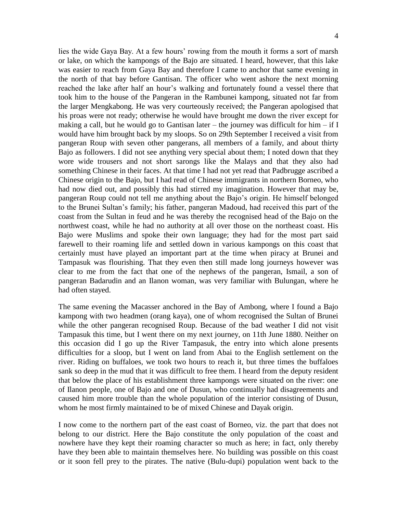lies the wide Gaya Bay. At a few hours' rowing from the mouth it forms a sort of marsh or lake, on which the kampongs of the Bajo are situated. I heard, however, that this lake was easier to reach from Gaya Bay and therefore I came to anchor that same evening in the north of that bay before Gantisan. The officer who went ashore the next morning reached the lake after half an hour's walking and fortunately found a vessel there that took him to the house of the Pangeran in the Rambunei kampong, situated not far from the larger Mengkabong. He was very courteously received; the Pangeran apologised that his proas were not ready; otherwise he would have brought me down the river except for making a call, but he would go to Gantisan later – the journey was difficult for him – if I would have him brought back by my sloops. So on 29th September I received a visit from pangeran Roup with seven other pangerans, all members of a family, and about thirty Bajo as followers. I did not see anything very special about them; I noted down that they wore wide trousers and not short sarongs like the Malays and that they also had something Chinese in their faces. At that time I had not yet read that Padbrugge ascribed a Chinese origin to the Bajo, but I had read of Chinese immigrants in northern Borneo, who had now died out, and possibly this had stirred my imagination. However that may be, pangeran Roup could not tell me anything about the Bajo's origin. He himself belonged to the Brunei Sultan's family; his father, pangeran Madoud, had received this part of the coast from the Sultan in feud and he was thereby the recognised head of the Bajo on the northwest coast, while he had no authority at all over those on the northeast coast. His Bajo were Muslims and spoke their own language; they had for the most part said farewell to their roaming life and settled down in various kampongs on this coast that certainly must have played an important part at the time when piracy at Brunei and Tampasuk was flourishing. That they even then still made long journeys however was clear to me from the fact that one of the nephews of the pangeran, Ismail, a son of pangeran Badarudin and an Ilanon woman, was very familiar with Bulungan, where he had often stayed.

The same evening the Macasser anchored in the Bay of Ambong, where I found a Bajo kampong with two headmen (orang kaya), one of whom recognised the Sultan of Brunei while the other pangeran recognised Roup. Because of the bad weather I did not visit Tampasuk this time, but I went there on my next journey, on 11th June 1880. Neither on this occasion did I go up the River Tampasuk, the entry into which alone presents difficulties for a sloop, but I went on land from Abai to the English settlement on the river. Riding on buffaloes, we took two hours to reach it, but three times the buffaloes sank so deep in the mud that it was difficult to free them. I heard from the deputy resident that below the place of his establishment three kampongs were situated on the river: one of Ilanon people, one of Bajo and one of Dusun, who continually had disagreements and caused him more trouble than the whole population of the interior consisting of Dusun, whom he most firmly maintained to be of mixed Chinese and Dayak origin.

I now come to the northern part of the east coast of Borneo, viz. the part that does not belong to our district. Here the Bajo constitute the only population of the coast and nowhere have they kept their roaming character so much as here; in fact, only thereby have they been able to maintain themselves here. No building was possible on this coast or it soon fell prey to the pirates. The native (Bulu-dupi) population went back to the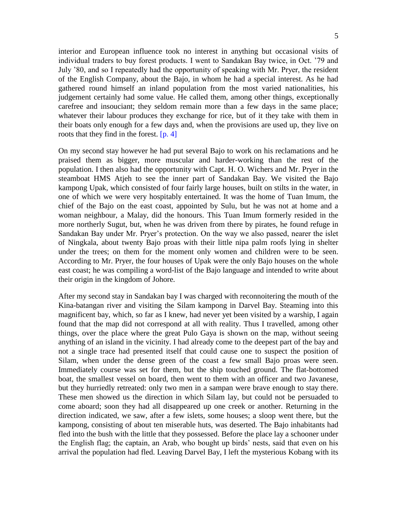interior and European influence took no interest in anything but occasional visits of individual traders to buy forest products. I went to Sandakan Bay twice, in Oct. '79 and July '80, and so I repeatedly had the opportunity of speaking with Mr. Pryer, the resident of the English Company, about the Bajo, in whom he had a special interest. As he had gathered round himself an inland population from the most varied nationalities, his judgement certainly had some value. He called them, among other things, exceptionally carefree and insouciant; they seldom remain more than a few days in the same place; whatever their labour produces they exchange for rice, but of it they take with them in their boats only enough for a few days and, when the provisions are used up, they live on roots that they find in the forest.  $[p, 4]$ 

On my second stay however he had put several Bajo to work on his reclamations and he praised them as bigger, more muscular and harder-working than the rest of the population. I then also had the opportunity with Capt. H. O. Wichers and Mr. Pryer in the steamboat HMS Atjeh to see the inner part of Sandakan Bay. We visited the Bajo kampong Upak, which consisted of four fairly large houses, built on stilts in the water, in one of which we were very hospitably entertained. It was the home of Tuan Imum, the chief of the Bajo on the east coast, appointed by Sulu, but he was not at home and a woman neighbour, a Malay, did the honours. This Tuan Imum formerly resided in the more northerly Sugut, but, when he was driven from there by pirates, he found refuge in Sandakan Bay under Mr. Pryer's protection. On the way we also passed, nearer the islet of Ningkala, about twenty Bajo proas with their little nipa palm roofs lying in shelter under the trees; on them for the moment only women and children were to be seen. According to Mr. Pryer, the four houses of Upak were the only Bajo houses on the whole east coast; he was compiling a word-list of the Bajo language and intended to write about their origin in the kingdom of Johore.

After my second stay in Sandakan bay I was charged with reconnoitering the mouth of the Kina-batangan river and visiting the Silam kampong in Darvel Bay. Steaming into this magnificent bay, which, so far as I knew, had never yet been visited by a warship, I again found that the map did not correspond at all with reality. Thus I travelled, among other things, over the place where the great Pulo Gaya is shown on the map, without seeing anything of an island in the vicinity. I had already come to the deepest part of the bay and not a single trace had presented itself that could cause one to suspect the position of Silam, when under the dense green of the coast a few small Bajo proas were seen. Immediately course was set for them, but the ship touched ground. The flat-bottomed boat, the smallest vessel on board, then went to them with an officer and two Javanese, but they hurriedly retreated: only two men in a sampan were brave enough to stay there. These men showed us the direction in which Silam lay, but could not be persuaded to come aboard; soon they had all disappeared up one creek or another. Returning in the direction indicated, we saw, after a few islets, some houses; a sloop went there, but the kampong, consisting of about ten miserable huts, was deserted. The Bajo inhabitants had fled into the bush with the little that they possessed. Before the place lay a schooner under the English flag; the captain, an Arab, who bought up birds' nests, said that even on his arrival the population had fled. Leaving Darvel Bay, I left the mysterious Kobang with its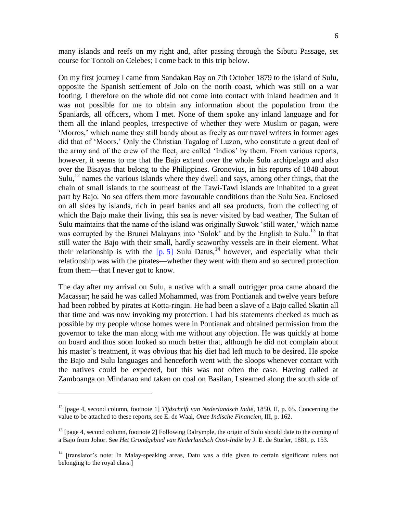many islands and reefs on my right and, after passing through the Sibutu Passage, set course for Tontoli on Celebes; I come back to this trip below.

On my first journey I came from Sandakan Bay on 7th October 1879 to the island of Sulu, opposite the Spanish settlement of Jolo on the north coast, which was still on a war footing. I therefore on the whole did not come into contact with inland headmen and it was not possible for me to obtain any information about the population from the Spaniards, all officers, whom I met. None of them spoke any inland language and for them all the inland peoples, irrespective of whether they were Muslim or pagan, were 'Morros,' which name they still bandy about as freely as our travel writers in former ages did that of 'Moors.' Only the Christian Tagalog of Luzon, who constitute a great deal of the army and of the crew of the fleet, are called 'Indios' by them. From various reports, however, it seems to me that the Bajo extend over the whole Sulu archipelago and also over the Bisayas that belong to the Philippines. Gronovius, in his reports of 1848 about Sulu, $^{12}$  names the various islands where they dwell and says, among other things, that the chain of small islands to the southeast of the Tawi-Tawi islands are inhabited to a great part by Bajo. No sea offers them more favourable conditions than the Sulu Sea. Enclosed on all sides by islands, rich in pearl banks and all sea products, from the collecting of which the Bajo make their living, this sea is never visited by bad weather, The Sultan of Sulu maintains that the name of the island was originally Suwok 'still water,' which name was corrupted by the Brunei Malayans into 'Solok' and by the English to Sulu.<sup>13</sup> In that still water the Bajo with their small, hardly seaworthy vessels are in their element. What their relationship is with the  $[p, 5]$  Sulu Datus,<sup>14</sup> however, and especially what their relationship was with the pirates—whether they went with them and so secured protection from them—that I never got to know.

The day after my arrival on Sulu, a native with a small outrigger proa came aboard the Macassar; he said he was called Mohammed, was from Pontianak and twelve years before had been robbed by pirates at Kotta-ringin. He had been a slave of a Bajo called Skatin all that time and was now invoking my protection. I had his statements checked as much as possible by my people whose homes were in Pontianak and obtained permission from the governor to take the man along with me without any objection. He was quickly at home on board and thus soon looked so much better that, although he did not complain about his master's treatment, it was obvious that his diet had left much to be desired. He spoke the Bajo and Sulu languages and henceforth went with the sloops whenever contact with the natives could be expected, but this was not often the case. Having called at Zamboanga on Mindanao and taken on coal on Basilan, I steamed along the south side of

<sup>12</sup> [page 4, second column, footnote 1] *Tijdschrift van Nederlandsch Indië*, 1850, II, p. 65. Concerning the value to be attached to these reports, see E. de Waal, *Onze Indische Financien*, III, p. 162.

<sup>&</sup>lt;sup>13</sup> [page 4, second column, footnote 2] Following Dalrymple, the origin of Sulu should date to the coming of a Bajo from Johor. See *Het Grondgebied van Nederlandsch Oost-Indië* by J. E. de Sturler, 1881, p. 153.

<sup>&</sup>lt;sup>14</sup> [translator's note: In Malay-speaking areas, Datu was a title given to certain significant rulers not belonging to the royal class.]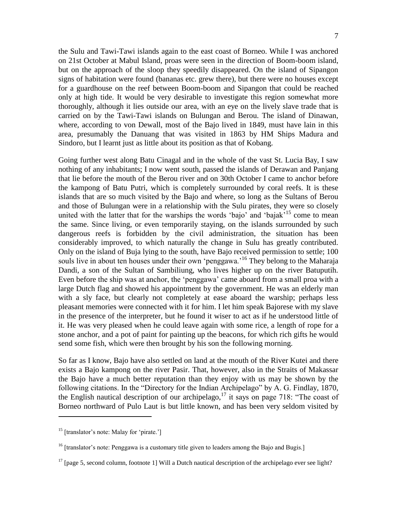the Sulu and Tawi-Tawi islands again to the east coast of Borneo. While I was anchored on 21st October at Mabul Island, proas were seen in the direction of Boom-boom island, but on the approach of the sloop they speedily disappeared. On the island of Sipangon signs of habitation were found (bananas etc. grew there), but there were no houses except for a guardhouse on the reef between Boom-boom and Sipangon that could be reached only at high tide. It would be very desirable to investigate this region somewhat more thoroughly, although it lies outside our area, with an eye on the lively slave trade that is carried on by the Tawi-Tawi islands on Bulungan and Berou. The island of Dinawan, where, according to von Dewall, most of the Bajo lived in 1849, must have lain in this area, presumably the Danuang that was visited in 1863 by HM Ships Madura and Sindoro, but I learnt just as little about its position as that of Kobang.

Going further west along Batu Cinagal and in the whole of the vast St. Lucia Bay, I saw nothing of any inhabitants; I now went south, passed the islands of Derawan and Panjang that lie before the mouth of the Berou river and on 30th October I came to anchor before the kampong of Batu Putri, which is completely surrounded by coral reefs. It is these islands that are so much visited by the Bajo and where, so long as the Sultans of Berou and those of Bulungan were in a relationship with the Sulu pirates, they were so closely united with the latter that for the warships the words 'bajo' and 'bajak'<sup>15</sup> come to mean the same. Since living, or even temporarily staying, on the islands surrounded by such dangerous reefs is forbidden by the civil administration, the situation has been considerably improved, to which naturally the change in Sulu has greatly contributed. Only on the island of Buja lying to the south, have Bajo received permission to settle; 100 souls live in about ten houses under their own 'penggawa.<sup>'16</sup> They belong to the Maharaja Dandi, a son of the Sultan of Sambiliung, who lives higher up on the river Batuputih. Even before the ship was at anchor, the 'penggawa' came aboard from a small proa with a large Dutch flag and showed his appointment by the government. He was an elderly man with a sly face, but clearly not completely at ease aboard the warship; perhaps less pleasant memories were connected with it for him. I let him speak Bajorese with my slave in the presence of the interpreter, but he found it wiser to act as if he understood little of it. He was very pleased when he could leave again with some rice, a length of rope for a stone anchor, and a pot of paint for painting up the beacons, for which rich gifts he would send some fish, which were then brought by his son the following morning.

So far as I know, Bajo have also settled on land at the mouth of the River Kutei and there exists a Bajo kampong on the river Pasir. That, however, also in the Straits of Makassar the Bajo have a much better reputation than they enjoy with us may be shown by the following citations. In the "Directory for the Indian Archipelago" by A. G. Findlay, 1870, the English nautical description of our archipelago,<sup>17</sup> it says on page 718: "The coast of Borneo northward of Pulo Laut is but little known, and has been very seldom visited by

<sup>&</sup>lt;sup>15</sup> [translator's note: Malay for 'pirate.']

<sup>&</sup>lt;sup>16</sup> [translator's note: Penggawa is a customary title given to leaders among the Bajo and Bugis.]

 $17$  [page 5, second column, footnote 1] Will a Dutch nautical description of the archipelago ever see light?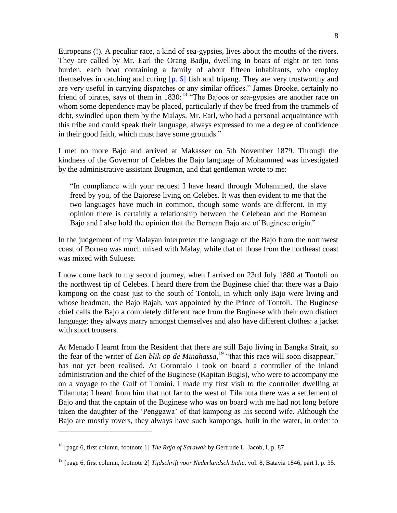Europeans (!). A peculiar race, a kind of sea-gypsies, lives about the mouths of the rivers. They are called by Mr. Earl the Orang Badju, dwelling in boats of eight or ten tons burden, each boat containing a family of about fifteen inhabitants, who employ themselves in catching and curing  $[p, 6]$  fish and tripang. They are very trustworthy and are very useful in carrying dispatches or any similar offices." James Brooke, certainly no friend of pirates, says of them in  $1830$ :<sup>18</sup> "The Bajoos or sea-gypsies are another race on whom some dependence may be placed, particularly if they be freed from the trammels of debt, swindled upon them by the Malays. Mr. Earl, who had a personal acquaintance with this tribe and could speak their language, always expressed to me a degree of confidence in their good faith, which must have some grounds."

I met no more Bajo and arrived at Makasser on 5th November 1879. Through the kindness of the Governor of Celebes the Bajo language of Mohammed was investigated by the administrative assistant Brugman, and that gentleman wrote to me:

"In compliance with your request I have heard through Mohammed, the slave freed by you, of the Bajorese living on Celebes. It was then evident to me that the two languages have much in common, though some words are different. In my opinion there is certainly a relationship between the Celebean and the Bornean Bajo and I also hold the opinion that the Bornean Bajo are of Buginese origin."

In the judgement of my Malayan interpreter the language of the Bajo from the northwest coast of Borneo was much mixed with Malay, while that of those from the northeast coast was mixed with Suluese.

I now come back to my second journey, when I arrived on 23rd July 1880 at Tontoli on the northwest tip of Celebes. I heard there from the Buginese chief that there was a Bajo kampong on the coast just to the south of Tontoli, in which only Bajo were living and whose headman, the Bajo Rajah, was appointed by the Prince of Tontoli. The Buginese chief calls the Bajo a completely different race from the Buginese with their own distinct language; they always marry amongst themselves and also have different clothes: a jacket with short trousers.

At Menado I learnt from the Resident that there are still Bajo living in Bangka Strait, so the fear of the writer of *Een blik op de Minahassa*, <sup>19</sup> "that this race will soon disappear," has not yet been realised. At Gorontalo I took on board a controller of the inland administration and the chief of the Buginese (Kapitan Bugis), who were to accompany me on a voyage to the Gulf of Tomini. I made my first visit to the controller dwelling at Tilamuta; I heard from him that not far to the west of Tilamuta there was a settlement of Bajo and that the captain of the Buginese who was on board with me had not long before taken the daughter of the 'Penggawa' of that kampong as his second wife. Although the Bajo are mostly rovers, they always have such kampongs, built in the water, in order to

<sup>18</sup> [page 6, first column, footnote 1] *The Raja of Sarawak* by Gertrude L. Jacob, I, p. 87.

<sup>19</sup> [page 6, first column, footnote 2] *Tijdschrift voor Nederlandsch Indië*. vol. 8, Batavia 1846, part I, p. 35.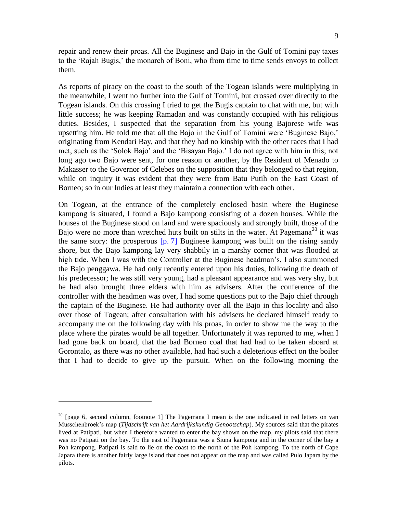repair and renew their proas. All the Buginese and Bajo in the Gulf of Tomini pay taxes to the 'Rajah Bugis,' the monarch of Boni, who from time to time sends envoys to collect them.

As reports of piracy on the coast to the south of the Togean islands were multiplying in the meanwhile, I went no further into the Gulf of Tomini, but crossed over directly to the Togean islands. On this crossing I tried to get the Bugis captain to chat with me, but with little success; he was keeping Ramadan and was constantly occupied with his religious duties. Besides, I suspected that the separation from his young Bajorese wife was upsetting him. He told me that all the Bajo in the Gulf of Tomini were 'Buginese Bajo,' originating from Kendari Bay, and that they had no kinship with the other races that I had met, such as the 'Solok Bajo' and the 'Bisayan Bajo.' I do not agree with him in this; not long ago two Bajo were sent, for one reason or another, by the Resident of Menado to Makasser to the Governor of Celebes on the supposition that they belonged to that region, while on inquiry it was evident that they were from Batu Putih on the East Coast of Borneo; so in our Indies at least they maintain a connection with each other.

On Togean, at the entrance of the completely enclosed basin where the Buginese kampong is situated, I found a Bajo kampong consisting of a dozen houses. While the houses of the Buginese stood on land and were spaciously and strongly built, those of the Bajo were no more than wretched huts built on stilts in the water. At Pagemana<sup>20</sup> it was the same story: the prosperous  $[p, 7]$  Buginese kampong was built on the rising sandy shore, but the Bajo kampong lay very shabbily in a marshy corner that was flooded at high tide. When I was with the Controller at the Buginese headman's, I also summoned the Bajo penggawa. He had only recently entered upon his duties, following the death of his predecessor; he was still very young, had a pleasant appearance and was very shy, but he had also brought three elders with him as advisers. After the conference of the controller with the headmen was over, I had some questions put to the Bajo chief through the captain of the Buginese. He had authority over all the Bajo in this locality and also over those of Togean; after consultation with his advisers he declared himself ready to accompany me on the following day with his proas, in order to show me the way to the place where the pirates would be all together. Unfortunately it was reported to me, when I had gone back on board, that the bad Borneo coal that had had to be taken aboard at Gorontalo, as there was no other available, had had such a deleterious effect on the boiler that I had to decide to give up the pursuit. When on the following morning the

 $20$  [page 6, second column, footnote 1] The Pagemana I mean is the one indicated in red letters on van Musschenbroek's map (*Tijdschrift van het Aardrijkskundig Genootschap*). My sources said that the pirates lived at Patipati, but when I therefore wanted to enter the bay shown on the map, my pilots said that there was no Patipati on the bay. To the east of Pagemana was a Siuna kampong and in the corner of the bay a Poh kampong. Patipati is said to lie on the coast to the north of the Poh kampong. To the north of Cape Japara there is another fairly large island that does not appear on the map and was called Pulo Japara by the pilots.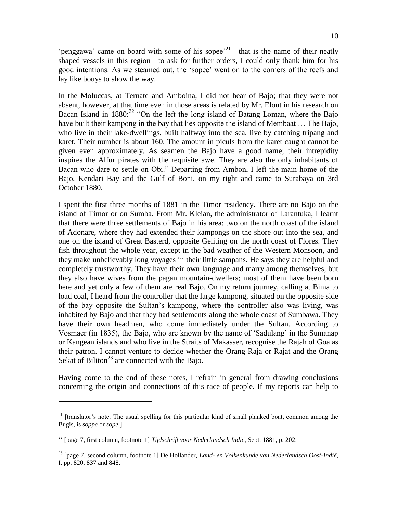'penggawa' came on board with some of his sopee<sup> $21$ </sup>—that is the name of their neatly shaped vessels in this region—to ask for further orders, I could only thank him for his good intentions. As we steamed out, the 'sopee' went on to the corners of the reefs and lay like bouys to show the way.

In the Moluccas, at Ternate and Amboina, I did not hear of Bajo; that they were not absent, however, at that time even in those areas is related by Mr. Elout in his research on Bacan Island in  $1880$ <sup>22</sup> "On the left the long island of Batang Loman, where the Bajo have built their kampong in the bay that lies opposite the island of Membaat ... The Bajo, who live in their lake-dwellings, built halfway into the sea, live by catching tripang and karet. Their number is about 160. The amount in piculs from the karet caught cannot be given even approximately. As seamen the Bajo have a good name; their intrepidity inspires the Alfur pirates with the requisite awe. They are also the only inhabitants of Bacan who dare to settle on Obi." Departing from Ambon, I left the main home of the Bajo, Kendari Bay and the Gulf of Boni, on my right and came to Surabaya on 3rd October 1880.

I spent the first three months of 1881 in the Timor residency. There are no Bajo on the island of Timor or on Sumba. From Mr. Kleian, the administrator of Larantuka, I learnt that there were three settlements of Bajo in his area: two on the north coast of the island of Adonare, where they had extended their kampongs on the shore out into the sea, and one on the island of Great Basterd, opposite Geliting on the north coast of Flores. They fish throughout the whole year, except in the bad weather of the Western Monsoon, and they make unbelievably long voyages in their little sampans. He says they are helpful and completely trustworthy. They have their own language and marry among themselves, but they also have wives from the pagan mountain-dwellers; most of them have been born here and yet only a few of them are real Bajo. On my return journey, calling at Bima to load coal, I heard from the controller that the large kampong, situated on the opposite side of the bay opposite the Sultan's kampong, where the controller also was living, was inhabited by Bajo and that they had settlements along the whole coast of Sumbawa. They have their own headmen, who come immediately under the Sultan. According to Vosmaer (in 1835), the Bajo, who are known by the name of 'Sadulang' in the Sumanap or Kangean islands and who live in the Straits of Makasser, recognise the Rajah of Goa as their patron. I cannot venture to decide whether the Orang Raja or Rajat and the Orang Sekat of Biliton<sup>23</sup> are connected with the Bajo.

Having come to the end of these notes, I refrain in general from drawing conclusions concerning the origin and connections of this race of people. If my reports can help to

 $21$  [translator's note: The usual spelling for this particular kind of small planked boat, common among the Bugis, is *soppe* or *sope*.]

<sup>22</sup> [page 7, first column, footnote 1] *Tijdschrift voor Nederlandsch Indië*, Sept. 1881, p. 202.

<sup>23</sup> [page 7, second column, footnote 1] De Hollander, *Land- en Volkenkunde van Nederlandsch Oost-Indië*, I, pp. 820, 837 and 848.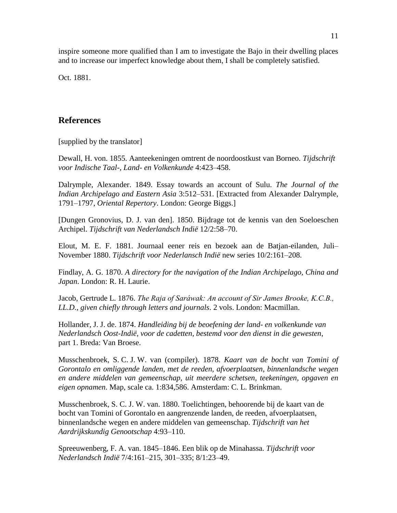inspire someone more qualified than I am to investigate the Bajo in their dwelling places and to increase our imperfect knowledge about them, I shall be completely satisfied.

Oct. 1881.

# **References**

[supplied by the translator]

Dewall, H. von. 1855. Aanteekeningen omtrent de noordoostkust van Borneo. *Tijdschrift voor Indische Taal-, Land- en Volkenkunde* 4:423–458.

Dalrymple, Alexander. 1849. Essay towards an account of Sulu. *The Journal of the Indian Archipelago and Eastern Asia* 3:512–531. [Extracted from Alexander Dalrymple, 1791–1797, *Oriental Repertory*. London: George Biggs.]

[Dungen Gronovius, D. J. van den]. 1850. Bijdrage tot de kennis van den Soeloeschen Archipel. *Tijdschrift van Nederlandsch Indië* 12/2:58–70.

Elout, M. E. F. 1881. Journaal eener reis en bezoek aan de Batjan-eilanden, Juli– November 1880. *Tijdschrift voor Nederlansch Indië* new series 10/2:161–208.

Findlay, A. G. 1870. *A directory for the navigation of the Indian Archipelago, China and Japan*. London: R. H. Laurie.

Jacob, Gertrude L. 1876. *The Raja of Saráwak: An account of Sir James Brooke, K.C.B., LL.D., given chiefly through letters and journals*. 2 vols. London: Macmillan.

Hollander, J. J. de. 1874. *Handleiding bij de beoefening der land- en volkenkunde van Nederlandsch Oost-Indië, voor de cadetten, bestemd voor den dienst in die gewesten*, part 1. Breda: Van Broese.

Musschenbroek, S. C. J. W. van (compiler). 1878. *Kaart van de bocht van Tomini of Gorontalo en omliggende landen, met de reeden, afvoerplaatsen, binnenlandsche wegen en andere middelen van gemeenschap, uit meerdere schetsen, teekeningen, opgaven en eigen opnamen*. Map, scale ca. 1:834,586. Amsterdam: C. L. Brinkman.

Musschenbroek, S. C. J. W. van. 1880. Toelichtingen, behoorende bij de kaart van de bocht van Tomini of Gorontalo en aangrenzende landen, de reeden, afvoerplaatsen, binnenlandsche wegen en andere middelen van gemeenschap. *Tijdschrift van het Aardrijkskundig Genootschap* 4:93–110.

Spreeuwenberg, F. A. van. 1845–1846. Een blik op de Minahassa. *Tijdschrift voor Nederlandsch Indië* 7/4:161–215, 301–335; 8/1:23–49.